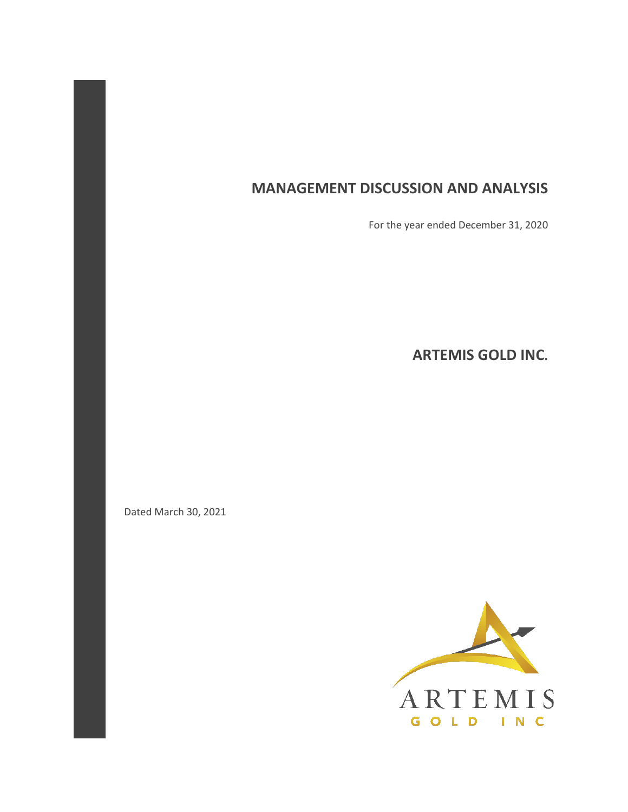# **MANAGEMENT DISCUSSION AND ANALYSIS**

For the year ended December 31, 2020

**ARTEMIS GOLD INC.** 

Dated March 30, 2021

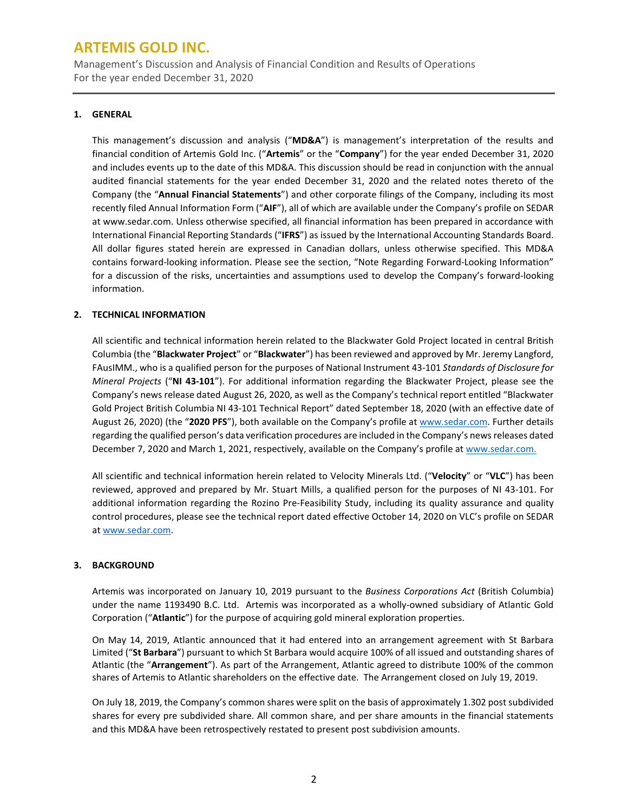Management's Discussion and Analysis of Financial Condition and Results of Operations For the year ended December 31, 2020

### **1. GENERAL**

This management's discussion and analysis ("**MD&A**") is management's interpretation of the results and financial condition of Artemis Gold Inc. ("**Artemis**" or the "**Company**") for the year ended December 31, 2020 and includes events up to the date of this MD&A. This discussion should be read in conjunction with the annual audited financial statements for the year ended December 31, 2020 and the related notes thereto of the Company (the "**Annual Financial Statements**") and other corporate filings of the Company, including its most recently filed Annual Information Form ("**AIF**"), all of which are available under the Company's profile on SEDAR at www.sedar.com. Unless otherwise specified, all financial information has been prepared in accordance with International Financial Reporting Standards ("**IFRS**") as issued by the International Accounting Standards Board. All dollar figures stated herein are expressed in Canadian dollars, unless otherwise specified. This MD&A contains forward-looking information. Please see the section, "Note Regarding Forward-Looking Information" for a discussion of the risks, uncertainties and assumptions used to develop the Company's forward-looking information.

### **2. TECHNICAL INFORMATION**

All scientific and technical information herein related to the Blackwater Gold Project located in central British Columbia (the "**Blackwater Project**" or "**Blackwater**") has been reviewed and approved by Mr. Jeremy Langford, FAusIMM., who is a qualified person for the purposes of National Instrument 43-101 *Standards of Disclosure for Mineral Projects* ("**NI 43-101**"). For additional information regarding the Blackwater Project, please see the Company's news release dated August 26, 2020, as well as the Company's technical report entitled "Blackwater Gold Project British Columbia NI 43-101 Technical Report" dated September 18, 2020 (with an effective date of August 26, 2020) (the "**2020 PFS**"), both available on the Company's profile at [www.sedar.com.](http://www.sedar.com/) Further details regarding the qualified person's data verification procedures are included in the Company's news releases dated December 7, 2020 and March 1, 2021, respectively, available on the Company's profile a[t www.sedar.com.](http://www.sedar.com/)

All scientific and technical information herein related to Velocity Minerals Ltd. ("**Velocity**" or "**VLC**") has been reviewed, approved and prepared by Mr. Stuart Mills, a qualified person for the purposes of NI 43-101. For additional information regarding the Rozino Pre-Feasibility Study, including its quality assurance and quality control procedures, please see the technical report dated effective October 14, 2020 on VLC's profile on SEDAR a[t www.sedar.com.](http://www.sedar.com/)

### **3. BACKGROUND**

Artemis was incorporated on January 10, 2019 pursuant to the *Business Corporations Act* (British Columbia) under the name 1193490 B.C. Ltd. Artemis was incorporated as a wholly-owned subsidiary of Atlantic Gold Corporation ("**Atlantic**") for the purpose of acquiring gold mineral exploration properties.

On May 14, 2019, Atlantic announced that it had entered into an arrangement agreement with St Barbara Limited ("**St Barbara**") pursuant to which St Barbara would acquire 100% of all issued and outstanding shares of Atlantic (the "**Arrangement**"). As part of the Arrangement, Atlantic agreed to distribute 100% of the common shares of Artemis to Atlantic shareholders on the effective date. The Arrangement closed on July 19, 2019.

On July 18, 2019, the Company's common shares were split on the basis of approximately 1.302 post subdivided shares for every pre subdivided share. All common share, and per share amounts in the financial statements and this MD&A have been retrospectively restated to present post subdivision amounts.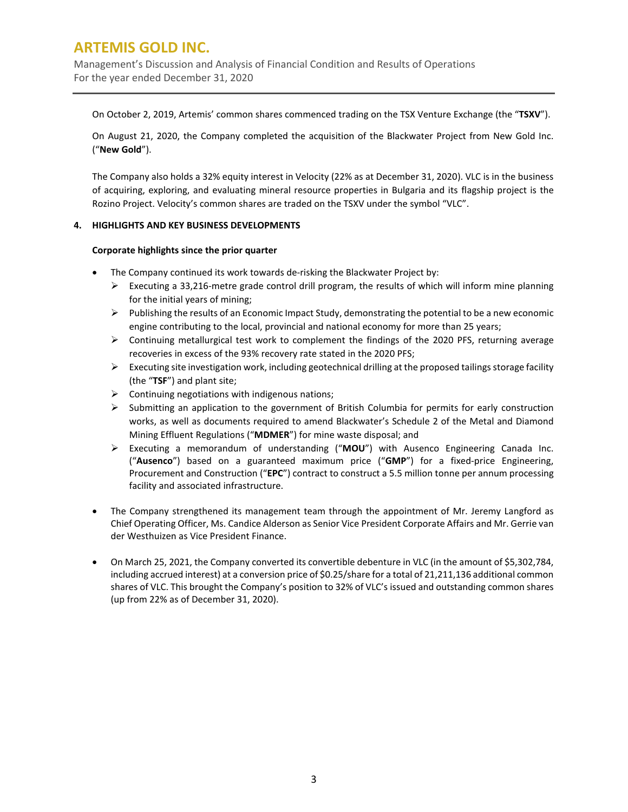Management's Discussion and Analysis of Financial Condition and Results of Operations For the year ended December 31, 2020

On October 2, 2019, Artemis' common shares commenced trading on the TSX Venture Exchange (the "**TSXV**").

On August 21, 2020, the Company completed the acquisition of the Blackwater Project from New Gold Inc. ("**New Gold**").

The Company also holds a 32% equity interest in Velocity (22% as at December 31, 2020). VLC is in the business of acquiring, exploring, and evaluating mineral resource properties in Bulgaria and its flagship project is the Rozino Project. Velocity's common shares are traded on the TSXV under the symbol "VLC".

### **4. HIGHLIGHTS AND KEY BUSINESS DEVELOPMENTS**

### **Corporate highlights since the prior quarter**

- The Company continued its work towards de-risking the Blackwater Project by:
	- Executing a 33,216-metre grade control drill program, the results of which will inform mine planning for the initial years of mining;
	- $\triangleright$  Publishing the results of an Economic Impact Study, demonstrating the potential to be a new economic engine contributing to the local, provincial and national economy for more than 25 years;
	- $\triangleright$  Continuing metallurgical test work to complement the findings of the 2020 PFS, returning average recoveries in excess of the 93% recovery rate stated in the 2020 PFS;
	- Executing site investigation work, including geotechnical drilling at the proposed tailings storage facility (the "**TSF**") and plant site;
	- $\triangleright$  Continuing negotiations with indigenous nations;
	- $\triangleright$  Submitting an application to the government of British Columbia for permits for early construction works, as well as documents required to amend Blackwater's Schedule 2 of the Metal and Diamond Mining Effluent Regulations ("**MDMER**") for mine waste disposal; and
	- Executing a memorandum of understanding ("**MOU**") with Ausenco Engineering Canada Inc. ("**Ausenco**") based on a guaranteed maximum price ("**GMP**") for a fixed-price Engineering, Procurement and Construction ("**EPC**") contract to construct a 5.5 million tonne per annum processing facility and associated infrastructure.
- The Company strengthened its management team through the appointment of Mr. Jeremy Langford as Chief Operating Officer, Ms. Candice Alderson as Senior Vice President Corporate Affairs and Mr. Gerrie van der Westhuizen as Vice President Finance.
- On March 25, 2021, the Company converted its convertible debenture in VLC (in the amount of \$5,302,784, including accrued interest) at a conversion price of \$0.25/share for a total of 21,211,136 additional common shares of VLC. This brought the Company's position to 32% of VLC's issued and outstanding common shares (up from 22% as of December 31, 2020).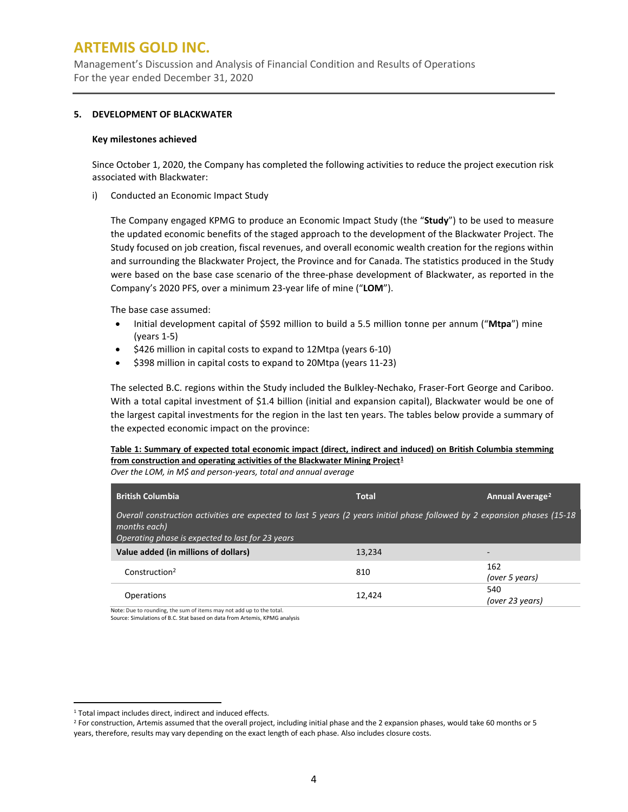Management's Discussion and Analysis of Financial Condition and Results of Operations For the year ended December 31, 2020

### **5. DEVELOPMENT OF BLACKWATER**

#### **Key milestones achieved**

Since October 1, 2020, the Company has completed the following activities to reduce the project execution risk associated with Blackwater:

i) Conducted an Economic Impact Study

The Company engaged KPMG to produce an Economic Impact Study (the "**Study**") to be used to measure the updated economic benefits of the staged approach to the development of the Blackwater Project. The Study focused on job creation, fiscal revenues, and overall economic wealth creation for the regions within and surrounding the Blackwater Project, the Province and for Canada. The statistics produced in the Study were based on the base case scenario of the three-phase development of Blackwater, as reported in the Company's 2020 PFS, over a minimum 23-year life of mine ("**LOM**").

The base case assumed:

- Initial development capital of \$592 million to build a 5.5 million tonne per annum ("**Mtpa**") mine (years 1-5)
- \$426 million in capital costs to expand to 12Mtpa (years 6-10)
- \$398 million in capital costs to expand to 20Mtpa (years 11-23)

The selected B.C. regions within the Study included the Bulkley-Nechako, Fraser-Fort George and Cariboo. With a total capital investment of \$1.4 billion (initial and expansion capital), Blackwater would be one of the largest capital investments for the region in the last ten years. The tables below provide a summary of the expected economic impact on the province:

**Table 1: Summary of expected total economic impact (direct, indirect and induced) on British Columbia stemming from construction and operating activities of the Blackwater Mining Project[1](#page-3-0)**

|  |  |  |  | Over the LOM, in M\$ and person-years, total and annual average |
|--|--|--|--|-----------------------------------------------------------------|
|--|--|--|--|-----------------------------------------------------------------|

| <b>British Columbia</b>                                                                                                                                                                       | <b>Total</b> | Annual Average <sup>2</sup> |
|-----------------------------------------------------------------------------------------------------------------------------------------------------------------------------------------------|--------------|-----------------------------|
| Overall construction activities are expected to last 5 years (2 years initial phase followed by 2 expansion phases (15-18<br>months each)<br>Operating phase is expected to last for 23 years |              |                             |
| Value added (in millions of dollars)                                                                                                                                                          | 13.234       |                             |
| Construction <sup>2</sup>                                                                                                                                                                     | 810          | 162<br>(over 5 years)       |
| Operations                                                                                                                                                                                    | 12.424       | 540<br>(over 23 years)      |

Note: Due to rounding, the sum of items may not add up to the total. Source: Simulations of B.C. Stat based on data from Artemis, KPMG analysis

<span id="page-3-0"></span><sup>&</sup>lt;sup>1</sup> Total impact includes direct, indirect and induced effects.

<span id="page-3-1"></span> $2$  For construction, Artemis assumed that the overall project, including initial phase and the 2 expansion phases, would take 60 months or 5 years, therefore, results may vary depending on the exact length of each phase. Also includes closure costs.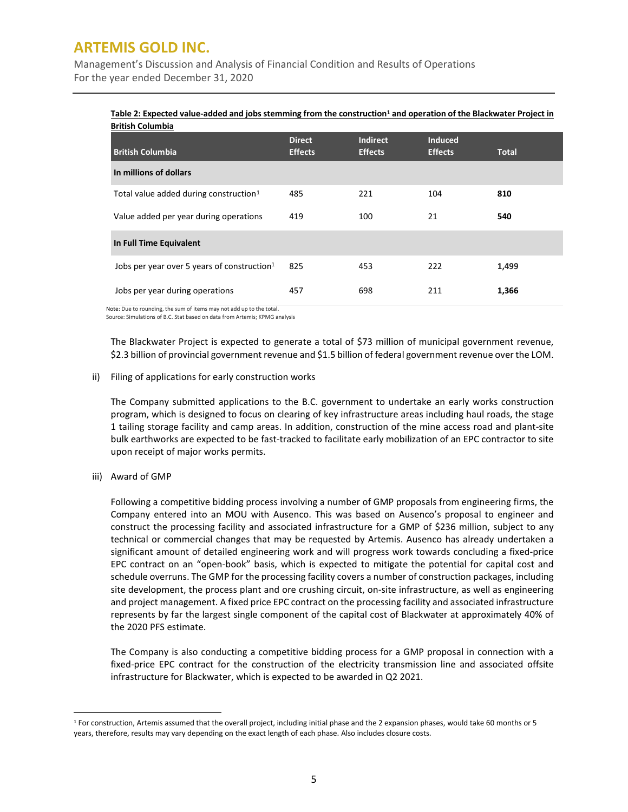Management's Discussion and Analysis of Financial Condition and Results of Operations For the year ended December 31, 2020

### **Table 2: Expected value-added and jobs stemming from the construction<sup>1</sup> and operation of the Blackwater Project in British Columbia**

| <b>British Columbia</b>                                                                                       | <b>Direct</b><br><b>Effects</b> | <b>Indirect</b><br><b>Effects</b> | <b>Induced</b><br><b>Effects</b> | <b>Total</b> |
|---------------------------------------------------------------------------------------------------------------|---------------------------------|-----------------------------------|----------------------------------|--------------|
| In millions of dollars                                                                                        |                                 |                                   |                                  |              |
| Total value added during construction <sup>1</sup>                                                            | 485                             | 221                               | 104                              | 810          |
| Value added per year during operations                                                                        | 419                             | 100                               | 21                               | 540          |
| In Full Time Equivalent                                                                                       |                                 |                                   |                                  |              |
| Jobs per year over 5 years of construction <sup>1</sup>                                                       | 825                             | 453                               | 222                              | 1,499        |
| Jobs per year during operations<br>المقمع والقامع وبدالتك والمستحدث وممارك والمتحدث والقاصر والمناقب والمتحدث | 457                             | 698                               | 211                              | 1,366        |

Note: Due to rounding, the sum of items may not add up to the total. Source: Simulations of B.C. Stat based on data from Artemis; KPMG analysis

The Blackwater Project is expected to generate a total of \$73 million of municipal government revenue, \$2.3 billion of provincial government revenue and \$1.5 billion of federal government revenue over the LOM.

#### ii) Filing of applications for early construction works

The Company submitted applications to the B.C. government to undertake an early works construction program, which is designed to focus on clearing of key infrastructure areas including haul roads, the stage 1 tailing storage facility and camp areas. In addition, construction of the mine access road and plant-site bulk earthworks are expected to be fast-tracked to facilitate early mobilization of an EPC contractor to site upon receipt of major works permits.

iii) Award of GMP

Following a competitive bidding process involving a number of GMP proposals from engineering firms, the Company entered into an MOU with Ausenco. This was based on Ausenco's proposal to engineer and construct the processing facility and associated infrastructure for a GMP of \$236 million, subject to any technical or commercial changes that may be requested by Artemis. Ausenco has already undertaken a significant amount of detailed engineering work and will progress work towards concluding a fixed-price EPC contract on an "open-book" basis, which is expected to mitigate the potential for capital cost and schedule overruns. The GMP for the processing facility covers a number of construction packages, including site development, the process plant and ore crushing circuit, on-site infrastructure, as well as engineering and project management. A fixed price EPC contract on the processing facility and associated infrastructure represents by far the largest single component of the capital cost of Blackwater at approximately 40% of the 2020 PFS estimate.

The Company is also conducting a competitive bidding process for a GMP proposal in connection with a fixed-price EPC contract for the construction of the electricity transmission line and associated offsite infrastructure for Blackwater, which is expected to be awarded in Q2 2021.

<span id="page-4-0"></span> $1$  For construction, Artemis assumed that the overall project, including initial phase and the 2 expansion phases, would take 60 months or 5 years, therefore, results may vary depending on the exact length of each phase. Also includes closure costs.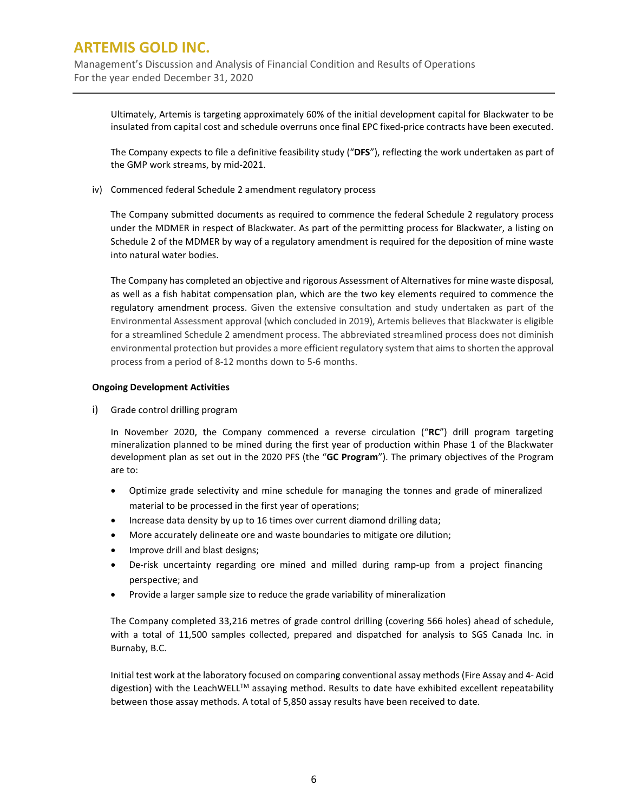Management's Discussion and Analysis of Financial Condition and Results of Operations For the year ended December 31, 2020

Ultimately, Artemis is targeting approximately 60% of the initial development capital for Blackwater to be insulated from capital cost and schedule overruns once final EPC fixed-price contracts have been executed.

The Company expects to file a definitive feasibility study ("**DFS**"), reflecting the work undertaken as part of the GMP work streams, by mid-2021.

iv) Commenced federal Schedule 2 amendment regulatory process

The Company submitted documents as required to commence the federal Schedule 2 regulatory process under the MDMER in respect of Blackwater. As part of the permitting process for Blackwater, a listing on Schedule 2 of the MDMER by way of a regulatory amendment is required for the deposition of mine waste into natural water bodies.

The Company has completed an objective and rigorous Assessment of Alternatives for mine waste disposal, as well as a fish habitat compensation plan, which are the two key elements required to commence the regulatory amendment process. Given the extensive consultation and study undertaken as part of the Environmental Assessment approval (which concluded in 2019), Artemis believes that Blackwater is eligible for a streamlined Schedule 2 amendment process. The abbreviated streamlined process does not diminish environmental protection but provides a more efficient regulatory system that aims to shorten the approval process from a period of 8-12 months down to 5-6 months.

### **Ongoing Development Activities**

i) Grade control drilling program

In November 2020, the Company commenced a reverse circulation ("**RC**") drill program targeting mineralization planned to be mined during the first year of production within Phase 1 of the Blackwater development plan as set out in the 2020 PFS (the "**GC Program**"). The primary objectives of the Program are to:

- Optimize grade selectivity and mine schedule for managing the tonnes and grade of mineralized material to be processed in the first year of operations;
- Increase data density by up to 16 times over current diamond drilling data;
- More accurately delineate ore and waste boundaries to mitigate ore dilution;
- Improve drill and blast designs;
- De-risk uncertainty regarding ore mined and milled during ramp-up from a project financing perspective; and
- Provide a larger sample size to reduce the grade variability of mineralization

The Company completed 33,216 metres of grade control drilling (covering 566 holes) ahead of schedule, with a total of 11,500 samples collected, prepared and dispatched for analysis to SGS Canada Inc. in Burnaby, B.C.

Initial test work at the laboratory focused on comparing conventional assay methods (Fire Assay and 4- Acid digestion) with the LeachWELL™ assaying method. Results to date have exhibited excellent repeatability between those assay methods. A total of 5,850 assay results have been received to date.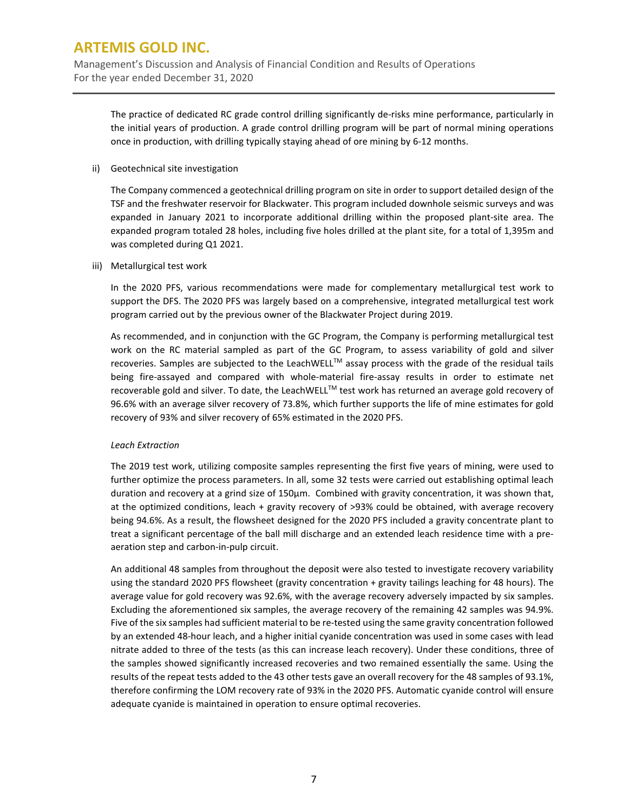Management's Discussion and Analysis of Financial Condition and Results of Operations For the year ended December 31, 2020

The practice of dedicated RC grade control drilling significantly de-risks mine performance, particularly in the initial years of production. A grade control drilling program will be part of normal mining operations once in production, with drilling typically staying ahead of ore mining by 6-12 months.

ii) Geotechnical site investigation

The Company commenced a geotechnical drilling program on site in order to support detailed design of the TSF and the freshwater reservoir for Blackwater. This program included downhole seismic surveys and was expanded in January 2021 to incorporate additional drilling within the proposed plant-site area. The expanded program totaled 28 holes, including five holes drilled at the plant site, for a total of 1,395m and was completed during Q1 2021.

iii) Metallurgical test work

In the 2020 PFS, various recommendations were made for complementary metallurgical test work to support the DFS. The 2020 PFS was largely based on a comprehensive, integrated metallurgical test work program carried out by the previous owner of the Blackwater Project during 2019.

As recommended, and in conjunction with the GC Program, the Company is performing metallurgical test work on the RC material sampled as part of the GC Program, to assess variability of gold and silver recoveries. Samples are subjected to the LeachWELL™ assay process with the grade of the residual tails being fire-assayed and compared with whole-material fire-assay results in order to estimate net recoverable gold and silver. To date, the LeachWELL™ test work has returned an average gold recovery of 96.6% with an average silver recovery of 73.8%, which further supports the life of mine estimates for gold recovery of 93% and silver recovery of 65% estimated in the 2020 PFS.

### *Leach Extraction*

The 2019 test work, utilizing composite samples representing the first five years of mining, were used to further optimize the process parameters. In all, some 32 tests were carried out establishing optimal leach duration and recovery at a grind size of 150µm. Combined with gravity concentration, it was shown that, at the optimized conditions, leach + gravity recovery of >93% could be obtained, with average recovery being 94.6%. As a result, the flowsheet designed for the 2020 PFS included a gravity concentrate plant to treat a significant percentage of the ball mill discharge and an extended leach residence time with a preaeration step and carbon-in-pulp circuit.

An additional 48 samples from throughout the deposit were also tested to investigate recovery variability using the standard 2020 PFS flowsheet (gravity concentration + gravity tailings leaching for 48 hours). The average value for gold recovery was 92.6%, with the average recovery adversely impacted by six samples. Excluding the aforementioned six samples, the average recovery of the remaining 42 samples was 94.9%. Five of the six samples had sufficient material to be re-tested using the same gravity concentration followed by an extended 48-hour leach, and a higher initial cyanide concentration was used in some cases with lead nitrate added to three of the tests (as this can increase leach recovery). Under these conditions, three of the samples showed significantly increased recoveries and two remained essentially the same. Using the results of the repeat tests added to the 43 other tests gave an overall recovery for the 48 samples of 93.1%, therefore confirming the LOM recovery rate of 93% in the 2020 PFS. Automatic cyanide control will ensure adequate cyanide is maintained in operation to ensure optimal recoveries.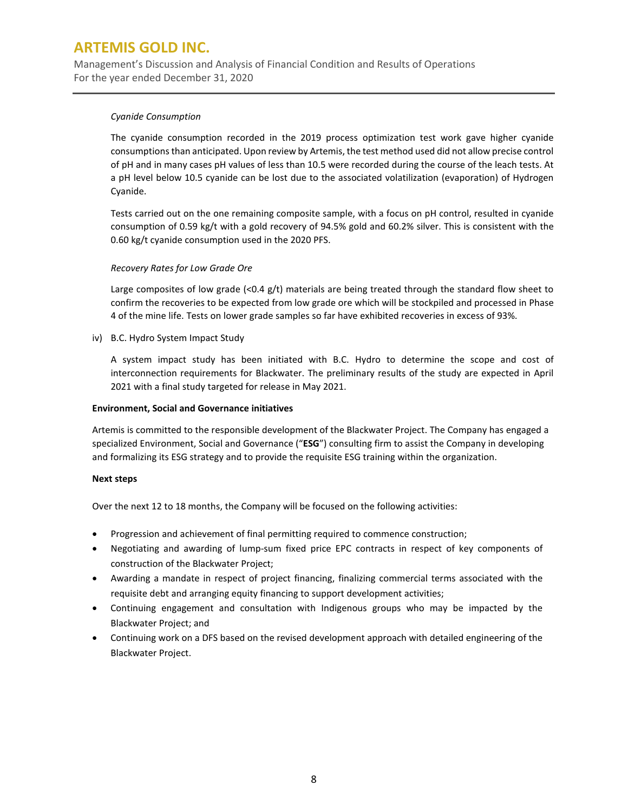Management's Discussion and Analysis of Financial Condition and Results of Operations For the year ended December 31, 2020

### *Cyanide Consumption*

The cyanide consumption recorded in the 2019 process optimization test work gave higher cyanide consumptions than anticipated. Upon review by Artemis, the test method used did not allow precise control of pH and in many cases pH values of less than 10.5 were recorded during the course of the leach tests. At a pH level below 10.5 cyanide can be lost due to the associated volatilization (evaporation) of Hydrogen Cyanide.

Tests carried out on the one remaining composite sample, with a focus on pH control, resulted in cyanide consumption of 0.59 kg/t with a gold recovery of 94.5% gold and 60.2% silver. This is consistent with the 0.60 kg/t cyanide consumption used in the 2020 PFS.

### *Recovery Rates for Low Grade Ore*

Large composites of low grade (<0.4  $g/t$ ) materials are being treated through the standard flow sheet to confirm the recoveries to be expected from low grade ore which will be stockpiled and processed in Phase 4 of the mine life. Tests on lower grade samples so far have exhibited recoveries in excess of 93%.

iv) B.C. Hydro System Impact Study

A system impact study has been initiated with B.C. Hydro to determine the scope and cost of interconnection requirements for Blackwater. The preliminary results of the study are expected in April 2021 with a final study targeted for release in May 2021.

### **Environment, Social and Governance initiatives**

Artemis is committed to the responsible development of the Blackwater Project. The Company has engaged a specialized Environment, Social and Governance ("**ESG**") consulting firm to assist the Company in developing and formalizing its ESG strategy and to provide the requisite ESG training within the organization.

### **Next steps**

Over the next 12 to 18 months, the Company will be focused on the following activities:

- Progression and achievement of final permitting required to commence construction;
- Negotiating and awarding of lump-sum fixed price EPC contracts in respect of key components of construction of the Blackwater Project;
- Awarding a mandate in respect of project financing, finalizing commercial terms associated with the requisite debt and arranging equity financing to support development activities;
- Continuing engagement and consultation with Indigenous groups who may be impacted by the Blackwater Project; and
- Continuing work on a DFS based on the revised development approach with detailed engineering of the Blackwater Project.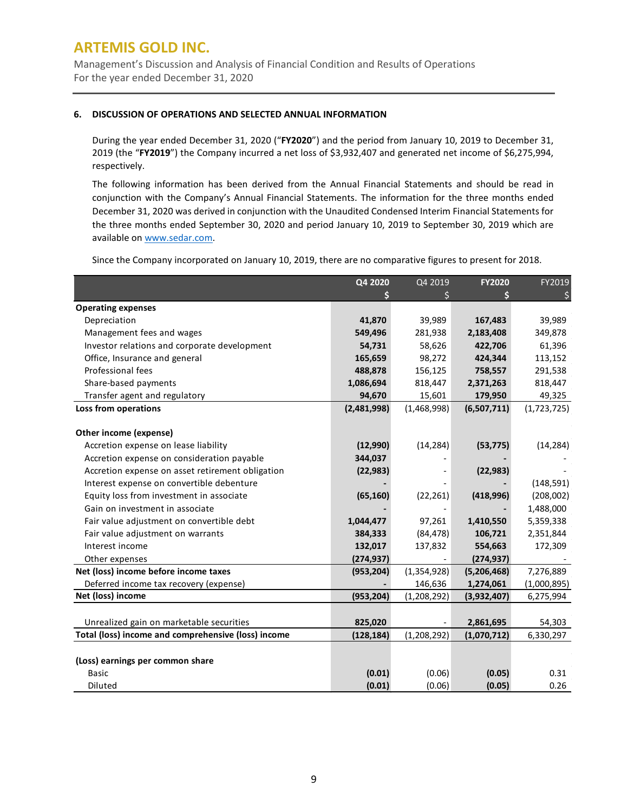Management's Discussion and Analysis of Financial Condition and Results of Operations For the year ended December 31, 2020

### **6. DISCUSSION OF OPERATIONS AND SELECTED ANNUAL INFORMATION**

During the year ended December 31, 2020 ("**FY2020**") and the period from January 10, 2019 to December 31, 2019 (the "**FY2019**") the Company incurred a net loss of \$3,932,407 and generated net income of \$6,275,994, respectively.

The following information has been derived from the Annual Financial Statements and should be read in conjunction with the Company's Annual Financial Statements. The information for the three months ended December 31, 2020 was derived in conjunction with the Unaudited Condensed Interim Financial Statements for the three months ended September 30, 2020 and period January 10, 2019 to September 30, 2019 which are available on [www.sedar.com.](http://www.sedar.com/)

Since the Company incorporated on January 10, 2019, there are no comparative figures to present for 2018.

|                                                     | Q4 2020     | Q4 2019       | <b>FY2020</b> | FY2019      |
|-----------------------------------------------------|-------------|---------------|---------------|-------------|
|                                                     |             |               |               |             |
| <b>Operating expenses</b>                           |             |               |               |             |
| Depreciation                                        | 41,870      | 39,989        | 167,483       | 39,989      |
| Management fees and wages                           | 549,496     | 281,938       | 2,183,408     | 349,878     |
| Investor relations and corporate development        | 54,731      | 58,626        | 422,706       | 61,396      |
| Office, Insurance and general                       | 165,659     | 98,272        | 424,344       | 113,152     |
| Professional fees                                   | 488,878     | 156,125       | 758,557       | 291,538     |
| Share-based payments                                | 1,086,694   | 818,447       | 2,371,263     | 818,447     |
| Transfer agent and regulatory                       | 94,670      | 15,601        | 179,950       | 49,325      |
| Loss from operations                                | (2,481,998) | (1,468,998)   | (6,507,711)   | (1,723,725) |
|                                                     |             |               |               |             |
| Other income (expense)                              |             |               |               |             |
| Accretion expense on lease liability                | (12,990)    | (14, 284)     | (53, 775)     | (14, 284)   |
| Accretion expense on consideration payable          | 344,037     |               |               |             |
| Accretion expense on asset retirement obligation    | (22, 983)   |               | (22, 983)     |             |
| Interest expense on convertible debenture           |             |               |               | (148, 591)  |
| Equity loss from investment in associate            | (65, 160)   | (22, 261)     | (418,996)     | (208,002)   |
| Gain on investment in associate                     |             |               |               | 1,488,000   |
| Fair value adjustment on convertible debt           | 1,044,477   | 97,261        | 1,410,550     | 5,359,338   |
| Fair value adjustment on warrants                   | 384,333     | (84, 478)     | 106,721       | 2,351,844   |
| Interest income                                     | 132,017     | 137,832       | 554,663       | 172,309     |
| Other expenses                                      | (274, 937)  |               | (274, 937)    |             |
| Net (loss) income before income taxes               | (953, 204)  | (1, 354, 928) | (5,206,468)   | 7,276,889   |
| Deferred income tax recovery (expense)              |             | 146,636       | 1,274,061     | (1,000,895) |
| Net (loss) income                                   | (953, 204)  | (1, 208, 292) | (3,932,407)   | 6,275,994   |
|                                                     |             |               |               |             |
| Unrealized gain on marketable securities            | 825,020     |               | 2,861,695     | 54,303      |
| Total (loss) income and comprehensive (loss) income | (128, 184)  | (1,208,292)   | (1,070,712)   | 6,330,297   |
|                                                     |             |               |               |             |
| (Loss) earnings per common share                    |             |               |               |             |
| <b>Basic</b>                                        | (0.01)      | (0.06)        | (0.05)        | 0.31        |
| <b>Diluted</b>                                      | (0.01)      | (0.06)        | (0.05)        | 0.26        |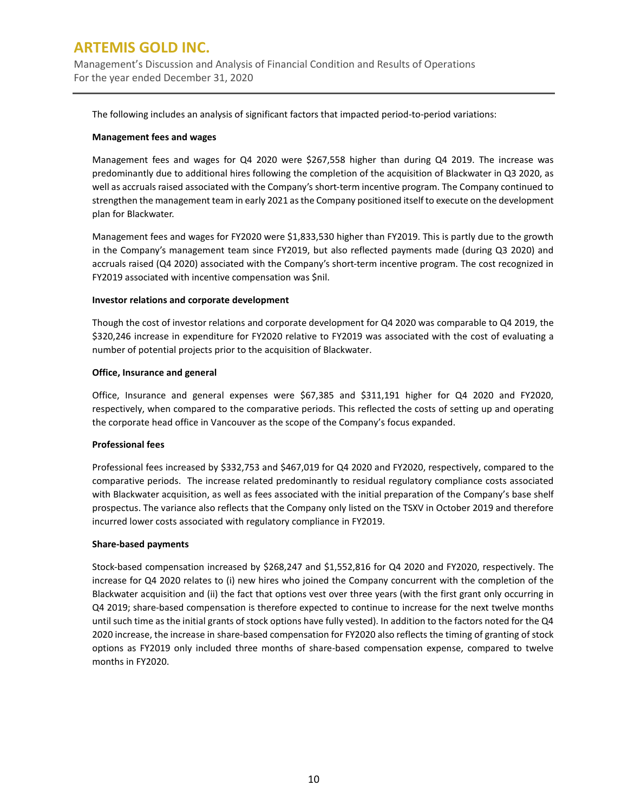Management's Discussion and Analysis of Financial Condition and Results of Operations For the year ended December 31, 2020

The following includes an analysis of significant factors that impacted period-to-period variations:

### **Management fees and wages**

Management fees and wages for Q4 2020 were \$267,558 higher than during Q4 2019. The increase was predominantly due to additional hires following the completion of the acquisition of Blackwater in Q3 2020, as well as accruals raised associated with the Company's short-term incentive program. The Company continued to strengthen the management team in early 2021 as the Company positioned itself to execute on the development plan for Blackwater.

Management fees and wages for FY2020 were \$1,833,530 higher than FY2019. This is partly due to the growth in the Company's management team since FY2019, but also reflected payments made (during Q3 2020) and accruals raised (Q4 2020) associated with the Company's short-term incentive program. The cost recognized in FY2019 associated with incentive compensation was \$nil.

### **Investor relations and corporate development**

Though the cost of investor relations and corporate development for Q4 2020 was comparable to Q4 2019, the \$320,246 increase in expenditure for FY2020 relative to FY2019 was associated with the cost of evaluating a number of potential projects prior to the acquisition of Blackwater.

### **Office, Insurance and general**

Office, Insurance and general expenses were \$67,385 and \$311,191 higher for Q4 2020 and FY2020, respectively, when compared to the comparative periods. This reflected the costs of setting up and operating the corporate head office in Vancouver as the scope of the Company's focus expanded.

### **Professional fees**

Professional fees increased by \$332,753 and \$467,019 for Q4 2020 and FY2020, respectively, compared to the comparative periods. The increase related predominantly to residual regulatory compliance costs associated with Blackwater acquisition, as well as fees associated with the initial preparation of the Company's base shelf prospectus. The variance also reflects that the Company only listed on the TSXV in October 2019 and therefore incurred lower costs associated with regulatory compliance in FY2019.

#### **Share-based payments**

Stock-based compensation increased by \$268,247 and \$1,552,816 for Q4 2020 and FY2020, respectively. The increase for Q4 2020 relates to (i) new hires who joined the Company concurrent with the completion of the Blackwater acquisition and (ii) the fact that options vest over three years (with the first grant only occurring in Q4 2019; share-based compensation is therefore expected to continue to increase for the next twelve months until such time as the initial grants of stock options have fully vested). In addition to the factors noted for the Q4 2020 increase, the increase in share-based compensation for FY2020 also reflects the timing of granting of stock options as FY2019 only included three months of share-based compensation expense, compared to twelve months in FY2020.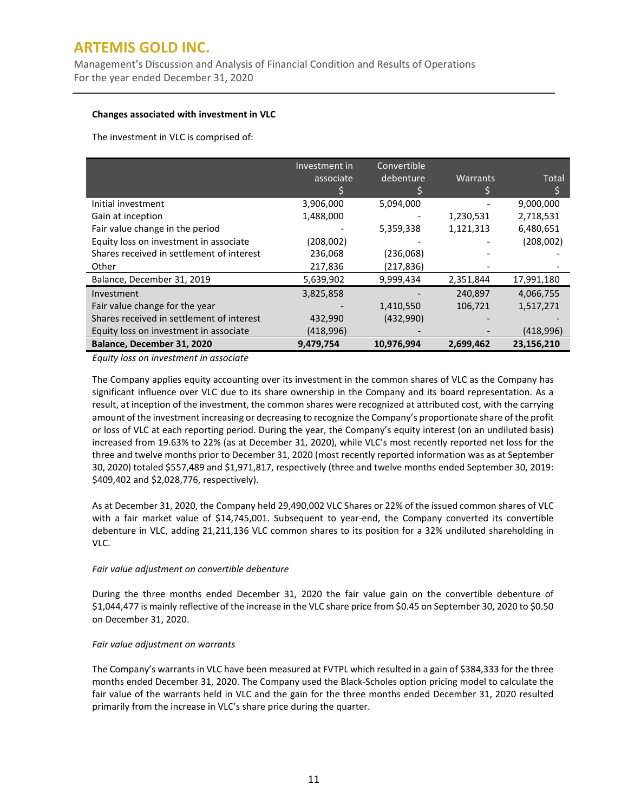Management's Discussion and Analysis of Financial Condition and Results of Operations For the year ended December 31, 2020

### **Changes associated with investment in VLC**

The investment in VLC is comprised of:

|                                           | Investment in | Convertible |           |            |
|-------------------------------------------|---------------|-------------|-----------|------------|
|                                           | associate     | debenture   | Warrants  | Total      |
|                                           |               |             |           |            |
| Initial investment                        | 3,906,000     | 5,094,000   |           | 9,000,000  |
| Gain at inception                         | 1,488,000     |             | 1,230,531 | 2,718,531  |
| Fair value change in the period           |               | 5,359,338   | 1,121,313 | 6,480,651  |
| Equity loss on investment in associate    | (208,002)     |             |           | (208,002)  |
| Shares received in settlement of interest | 236,068       | (236,068)   |           |            |
| Other                                     | 217,836       | (217,836)   |           |            |
| Balance, December 31, 2019                | 5,639,902     | 9,999,434   | 2,351,844 | 17,991,180 |
| Investment                                | 3,825,858     |             | 240.897   | 4,066,755  |
| Fair value change for the year            |               | 1,410,550   | 106,721   | 1,517,271  |
| Shares received in settlement of interest | 432,990       | (432,990)   |           |            |
| Equity loss on investment in associate    | (418,996)     |             |           | (418,996)  |
| Balance, December 31, 2020                | 9,479,754     | 10,976,994  | 2,699,462 | 23,156,210 |

*Equity loss on investment in associate*

The Company applies equity accounting over its investment in the common shares of VLC as the Company has significant influence over VLC due to its share ownership in the Company and its board representation. As a result, at inception of the investment, the common shares were recognized at attributed cost, with the carrying amount of the investment increasing or decreasing to recognize the Company's proportionate share of the profit or loss of VLC at each reporting period. During the year, the Company's equity interest (on an undiluted basis) increased from 19.63% to 22% (as at December 31, 2020), while VLC's most recently reported net loss for the three and twelve months prior to December 31, 2020 (most recently reported information was as at September 30, 2020) totaled \$557,489 and \$1,971,817, respectively (three and twelve months ended September 30, 2019: \$409,402 and \$2,028,776, respectively).

As at December 31, 2020, the Company held 29,490,002 VLC Shares or 22% of the issued common shares of VLC with a fair market value of \$14,745,001. Subsequent to year-end, the Company converted its convertible debenture in VLC, adding 21,211,136 VLC common shares to its position for a 32% undiluted shareholding in VLC.

### *Fair value adjustment on convertible debenture*

During the three months ended December 31, 2020 the fair value gain on the convertible debenture of \$1,044,477 is mainly reflective of the increase in the VLC share price from \$0.45 on September 30, 2020 to \$0.50 on December 31, 2020.

#### *Fair value adjustment on warrants*

The Company's warrants in VLC have been measured at FVTPL which resulted in a gain of \$384,333 for the three months ended December 31, 2020. The Company used the Black-Scholes option pricing model to calculate the fair value of the warrants held in VLC and the gain for the three months ended December 31, 2020 resulted primarily from the increase in VLC's share price during the quarter.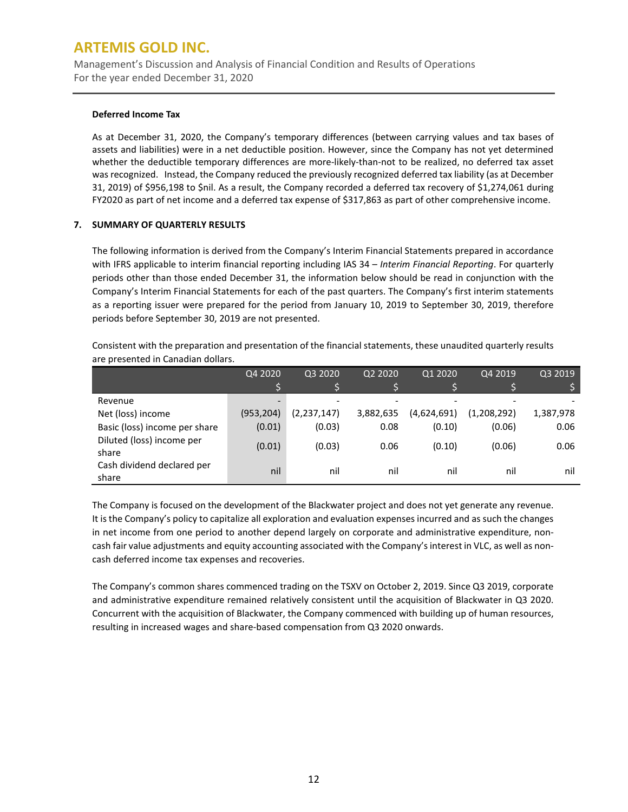Management's Discussion and Analysis of Financial Condition and Results of Operations For the year ended December 31, 2020

### **Deferred Income Tax**

As at December 31, 2020, the Company's temporary differences (between carrying values and tax bases of assets and liabilities) were in a net deductible position. However, since the Company has not yet determined whether the deductible temporary differences are more-likely-than-not to be realized, no deferred tax asset was recognized. Instead, the Company reduced the previously recognized deferred tax liability (as at December 31, 2019) of \$956,198 to \$nil. As a result, the Company recorded a deferred tax recovery of \$1,274,061 during FY2020 as part of net income and a deferred tax expense of \$317,863 as part of other comprehensive income.

### **7. SUMMARY OF QUARTERLY RESULTS**

The following information is derived from the Company's Interim Financial Statements prepared in accordance with IFRS applicable to interim financial reporting including IAS 34 – *Interim Financial Reporting*. For quarterly periods other than those ended December 31, the information below should be read in conjunction with the Company's Interim Financial Statements for each of the past quarters. The Company's first interim statements as a reporting issuer were prepared for the period from January 10, 2019 to September 30, 2019, therefore periods before September 30, 2019 are not presented.

Consistent with the preparation and presentation of the financial statements, these unaudited quarterly results are presented in Canadian dollars.

|                                     | Q4 2020                  | Q3 2020       | Q2 2020                  | Q1 2020     | Q4 2019     | Q3 2019   |
|-------------------------------------|--------------------------|---------------|--------------------------|-------------|-------------|-----------|
|                                     |                          |               |                          |             |             |           |
| Revenue                             | $\overline{\phantom{0}}$ |               | $\overline{\phantom{a}}$ |             |             |           |
| Net (loss) income                   | (953, 204)               | (2, 237, 147) | 3,882,635                | (4,624,691) | (1,208,292) | 1,387,978 |
| Basic (loss) income per share       | (0.01)                   | (0.03)        | 0.08                     | (0.10)      | (0.06)      | 0.06      |
| Diluted (loss) income per<br>share  | (0.01)                   | (0.03)        | 0.06                     | (0.10)      | (0.06)      | 0.06      |
| Cash dividend declared per<br>share | nil                      | nil           | nil                      | nil         | nil         | nil       |

The Company is focused on the development of the Blackwater project and does not yet generate any revenue. It is the Company's policy to capitalize all exploration and evaluation expenses incurred and as such the changes in net income from one period to another depend largely on corporate and administrative expenditure, noncash fair value adjustments and equity accounting associated with the Company's interest in VLC, as well as noncash deferred income tax expenses and recoveries.

The Company's common shares commenced trading on the TSXV on October 2, 2019. Since Q3 2019, corporate and administrative expenditure remained relatively consistent until the acquisition of Blackwater in Q3 2020. Concurrent with the acquisition of Blackwater, the Company commenced with building up of human resources, resulting in increased wages and share-based compensation from Q3 2020 onwards.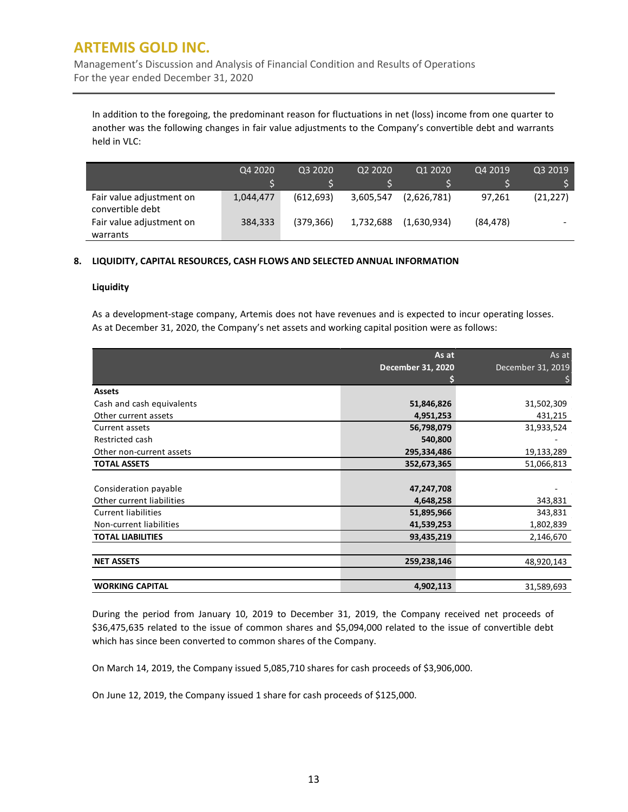Management's Discussion and Analysis of Financial Condition and Results of Operations For the year ended December 31, 2020

In addition to the foregoing, the predominant reason for fluctuations in net (loss) income from one quarter to another was the following changes in fair value adjustments to the Company's convertible debt and warrants held in VLC:

|                                              | Q4 2020   | 03 2020    | Q2 2020   | Q1 2020     | Q4 2019   | Q3 2019   |
|----------------------------------------------|-----------|------------|-----------|-------------|-----------|-----------|
|                                              |           |            |           |             |           |           |
| Fair value adjustment on<br>convertible debt | 1,044,477 | (612, 693) | 3,605,547 | (2,626,781) | 97.261    | (21, 227) |
| Fair value adjustment on                     | 384,333   | (379, 366) | 1,732,688 | (1,630,934) | (84, 478) |           |
| warrants                                     |           |            |           |             |           |           |

### **8. LIQUIDITY, CAPITAL RESOURCES, CASH FLOWS AND SELECTED ANNUAL INFORMATION**

### **Liquidity**

As a development-stage company, Artemis does not have revenues and is expected to incur operating losses. As at December 31, 2020, the Company's net assets and working capital position were as follows:

|                            | As at<br><b>December 31, 2020</b> | As at<br>December 31, 2019 |
|----------------------------|-----------------------------------|----------------------------|
|                            |                                   |                            |
| <b>Assets</b>              |                                   |                            |
| Cash and cash equivalents  | 51,846,826                        | 31,502,309                 |
| Other current assets       | 4,951,253                         | 431,215                    |
| Current assets             | 56,798,079                        | 31,933,524                 |
| Restricted cash            | 540,800                           |                            |
| Other non-current assets   | 295,334,486                       | 19,133,289                 |
| <b>TOTAL ASSETS</b>        | 352,673,365                       | 51,066,813                 |
|                            |                                   |                            |
| Consideration payable      | 47,247,708                        |                            |
| Other current liabilities  | 4,648,258                         | 343,831                    |
| <b>Current liabilities</b> | 51,895,966                        | 343,831                    |
| Non-current liabilities    | 41,539,253                        | 1,802,839                  |
| <b>TOTAL LIABILITIES</b>   | 93,435,219                        | 2,146,670                  |
|                            |                                   |                            |
| <b>NET ASSETS</b>          | 259,238,146                       | 48,920,143                 |
|                            |                                   |                            |
| <b>WORKING CAPITAL</b>     | 4,902,113                         | 31,589,693                 |

During the period from January 10, 2019 to December 31, 2019, the Company received net proceeds of \$36,475,635 related to the issue of common shares and \$5,094,000 related to the issue of convertible debt which has since been converted to common shares of the Company.

On March 14, 2019, the Company issued 5,085,710 shares for cash proceeds of \$3,906,000.

On June 12, 2019, the Company issued 1 share for cash proceeds of \$125,000.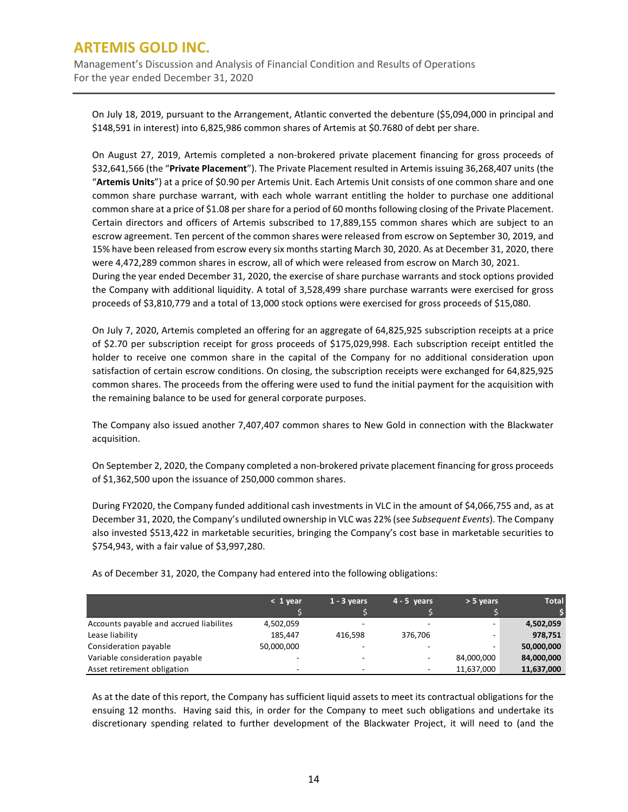Management's Discussion and Analysis of Financial Condition and Results of Operations For the year ended December 31, 2020

On July 18, 2019, pursuant to the Arrangement, Atlantic converted the debenture (\$5,094,000 in principal and \$148,591 in interest) into 6,825,986 common shares of Artemis at \$0.7680 of debt per share.

On August 27, 2019, Artemis completed a non-brokered private placement financing for gross proceeds of \$32,641,566 (the "**Private Placement**"). The Private Placement resulted in Artemis issuing 36,268,407 units (the "**Artemis Units**") at a price of \$0.90 per Artemis Unit. Each Artemis Unit consists of one common share and one common share purchase warrant, with each whole warrant entitling the holder to purchase one additional common share at a price of \$1.08 per share for a period of 60 months following closing of the Private Placement. Certain directors and officers of Artemis subscribed to 17,889,155 common shares which are subject to an escrow agreement. Ten percent of the common shares were released from escrow on September 30, 2019, and 15% have been released from escrow every six months starting March 30, 2020. As at December 31, 2020, there were 4,472,289 common shares in escrow, all of which were released from escrow on March 30, 2021. During the year ended December 31, 2020, the exercise of share purchase warrants and stock options provided the Company with additional liquidity. A total of 3,528,499 share purchase warrants were exercised for gross proceeds of \$3,810,779 and a total of 13,000 stock options were exercised for gross proceeds of \$15,080.

On July 7, 2020, Artemis completed an offering for an aggregate of 64,825,925 subscription receipts at a price of \$2.70 per subscription receipt for gross proceeds of \$175,029,998. Each subscription receipt entitled the holder to receive one common share in the capital of the Company for no additional consideration upon satisfaction of certain escrow conditions. On closing, the subscription receipts were exchanged for 64,825,925 common shares. The proceeds from the offering were used to fund the initial payment for the acquisition with the remaining balance to be used for general corporate purposes.

The Company also issued another 7,407,407 common shares to New Gold in connection with the Blackwater acquisition.

On September 2, 2020, the Company completed a non-brokered private placement financing for gross proceeds of \$1,362,500 upon the issuance of 250,000 common shares.

During FY2020, the Company funded additional cash investments in VLC in the amount of \$4,066,755 and, as at December 31, 2020, the Company's undiluted ownership in VLC was 22% (see *Subsequent Events*). The Company also invested \$513,422 in marketable securities, bringing the Company's cost base in marketable securities to \$754,943, with a fair value of \$3,997,280.

|                                         | $< 1$ year | $1 - 3$ years            | $4 - 5$ years            | $> 5$ years | <b>Total</b> |
|-----------------------------------------|------------|--------------------------|--------------------------|-------------|--------------|
|                                         |            |                          |                          |             |              |
| Accounts payable and accrued liabilites | 4,502,059  | $\overline{\phantom{a}}$ | -                        |             | 4,502,059    |
| Lease liability                         | 185.447    | 416.598                  | 376.706                  |             | 978,751      |
| Consideration payable                   | 50,000,000 | -                        | -                        |             | 50,000,000   |
| Variable consideration payable          |            | -                        | $\overline{\phantom{a}}$ | 84,000,000  | 84,000,000   |
| Asset retirement obligation             | -          | -                        | $\overline{\phantom{0}}$ | 11,637,000  | 11,637,000   |

As of December 31, 2020, the Company had entered into the following obligations:

As at the date of this report, the Company has sufficient liquid assets to meet its contractual obligations for the ensuing 12 months. Having said this, in order for the Company to meet such obligations and undertake its discretionary spending related to further development of the Blackwater Project, it will need to (and the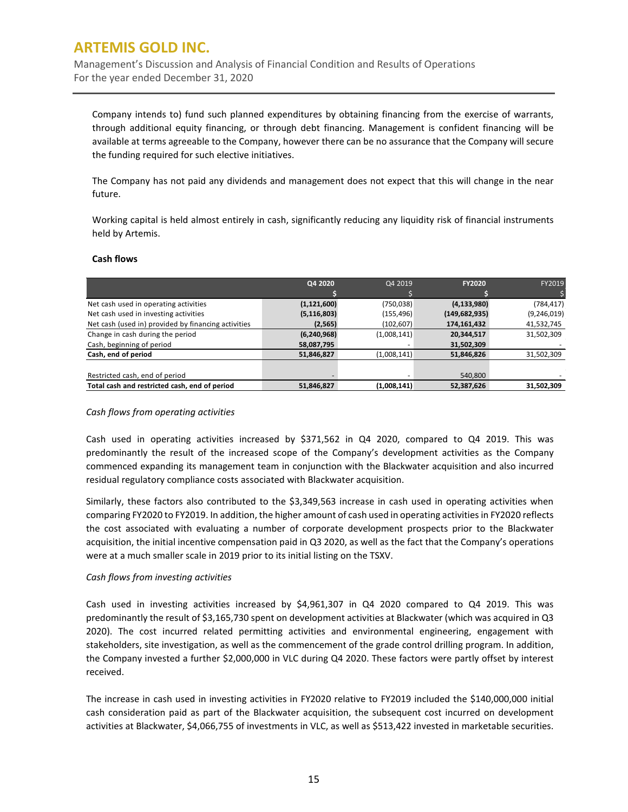Management's Discussion and Analysis of Financial Condition and Results of Operations For the year ended December 31, 2020

Company intends to) fund such planned expenditures by obtaining financing from the exercise of warrants, through additional equity financing, or through debt financing. Management is confident financing will be available at terms agreeable to the Company, however there can be no assurance that the Company will secure the funding required for such elective initiatives.

The Company has not paid any dividends and management does not expect that this will change in the near future.

Working capital is held almost entirely in cash, significantly reducing any liquidity risk of financial instruments held by Artemis.

#### **Cash flows**

|                                                     | Q4 2020       | Q4 2019     | <b>FY2020</b>   | FY2019        |
|-----------------------------------------------------|---------------|-------------|-----------------|---------------|
|                                                     |               |             |                 |               |
| Net cash used in operating activities               | (1, 121, 600) | (750, 038)  | (4, 133, 980)   | (784, 417)    |
| Net cash used in investing activities               | (5, 116, 803) | (155, 496)  | (149, 682, 935) | (9, 246, 019) |
| Net cash (used in) provided by financing activities | (2, 565)      | (102, 607)  | 174,161,432     | 41,532,745    |
| Change in cash during the period                    | (6, 240, 968) | (1,008,141) | 20,344,517      | 31,502,309    |
| Cash, beginning of period                           | 58,087,795    |             | 31,502,309      |               |
| Cash, end of period                                 | 51,846,827    | (1,008,141) | 51,846,826      | 31,502,309    |
|                                                     |               |             |                 |               |
| Restricted cash, end of period                      |               |             | 540,800         |               |
| Total cash and restricted cash, end of period       | 51,846,827    | (1,008,141) | 52,387,626      | 31,502,309    |

#### *Cash flows from operating activities*

Cash used in operating activities increased by \$371,562 in Q4 2020, compared to Q4 2019. This was predominantly the result of the increased scope of the Company's development activities as the Company commenced expanding its management team in conjunction with the Blackwater acquisition and also incurred residual regulatory compliance costs associated with Blackwater acquisition.

Similarly, these factors also contributed to the \$3,349,563 increase in cash used in operating activities when comparing FY2020 to FY2019. In addition, the higher amount of cash used in operating activities in FY2020 reflects the cost associated with evaluating a number of corporate development prospects prior to the Blackwater acquisition, the initial incentive compensation paid in Q3 2020, as well as the fact that the Company's operations were at a much smaller scale in 2019 prior to its initial listing on the TSXV.

#### *Cash flows from investing activities*

Cash used in investing activities increased by \$4,961,307 in Q4 2020 compared to Q4 2019. This was predominantly the result of \$3,165,730 spent on development activities at Blackwater (which was acquired in Q3 2020). The cost incurred related permitting activities and environmental engineering, engagement with stakeholders, site investigation, as well as the commencement of the grade control drilling program. In addition, the Company invested a further \$2,000,000 in VLC during Q4 2020. These factors were partly offset by interest received.

The increase in cash used in investing activities in FY2020 relative to FY2019 included the \$140,000,000 initial cash consideration paid as part of the Blackwater acquisition, the subsequent cost incurred on development activities at Blackwater, \$4,066,755 of investments in VLC, as well as \$513,422 invested in marketable securities.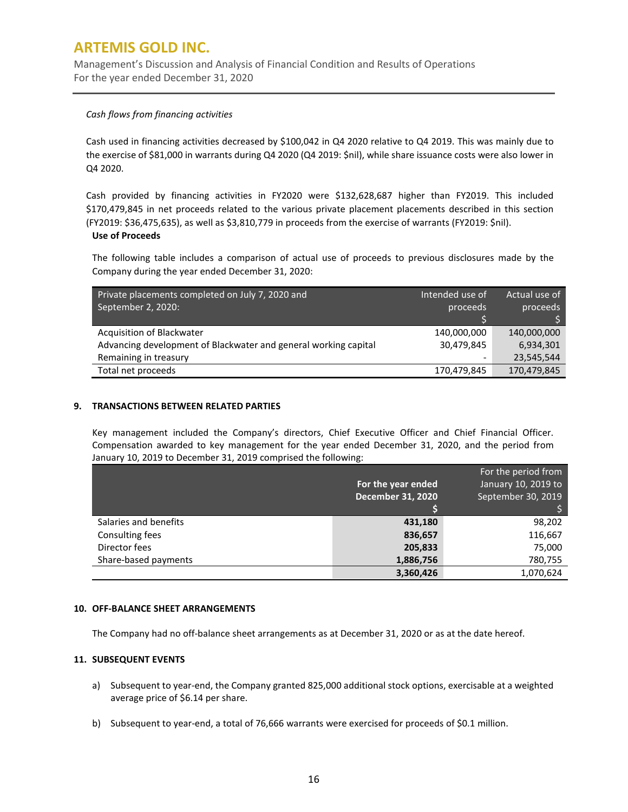Management's Discussion and Analysis of Financial Condition and Results of Operations For the year ended December 31, 2020

### *Cash flows from financing activities*

Cash used in financing activities decreased by \$100,042 in Q4 2020 relative to Q4 2019. This was mainly due to the exercise of \$81,000 in warrants during Q4 2020 (Q4 2019: \$nil), while share issuance costs were also lower in Q4 2020.

Cash provided by financing activities in FY2020 were \$132,628,687 higher than FY2019. This included \$170,479,845 in net proceeds related to the various private placement placements described in this section (FY2019: \$36,475,635), as well as \$3,810,779 in proceeds from the exercise of warrants (FY2019: \$nil).

#### **Use of Proceeds**

The following table includes a comparison of actual use of proceeds to previous disclosures made by the Company during the year ended December 31, 2020:

| Private placements completed on July 7, 2020 and<br>September 2, 2020: | Intended use of<br>proceeds | Actual use of<br>proceeds |
|------------------------------------------------------------------------|-----------------------------|---------------------------|
|                                                                        |                             |                           |
|                                                                        |                             |                           |
| Acquisition of Blackwater                                              | 140.000.000                 | 140,000,000               |
| Advancing development of Blackwater and general working capital        | 30,479,845                  | 6,934,301                 |
| Remaining in treasury                                                  |                             | 23,545,544                |
| Total net proceeds                                                     | 170,479,845                 | 170,479,845               |

### **9. TRANSACTIONS BETWEEN RELATED PARTIES**

Key management included the Company's directors, Chief Executive Officer and Chief Financial Officer. Compensation awarded to key management for the year ended December 31, 2020, and the period from January 10, 2019 to December 31, 2019 comprised the following:

|                       | For the year ended<br><b>December 31, 2020</b> | For the period from<br>January 10, 2019 to<br>September 30, 2019 |
|-----------------------|------------------------------------------------|------------------------------------------------------------------|
| Salaries and benefits | 431,180                                        | 98,202                                                           |
| Consulting fees       | 836,657                                        | 116,667                                                          |
| Director fees         | 205,833                                        | 75,000                                                           |
| Share-based payments  | 1,886,756                                      | 780,755                                                          |
|                       | 3,360,426                                      | 1,070,624                                                        |

#### **10. OFF-BALANCE SHEET ARRANGEMENTS**

The Company had no off-balance sheet arrangements as at December 31, 2020 or as at the date hereof.

#### **11. SUBSEQUENT EVENTS**

- a) Subsequent to year-end, the Company granted 825,000 additional stock options, exercisable at a weighted average price of \$6.14 per share.
- b) Subsequent to year-end, a total of 76,666 warrants were exercised for proceeds of \$0.1 million.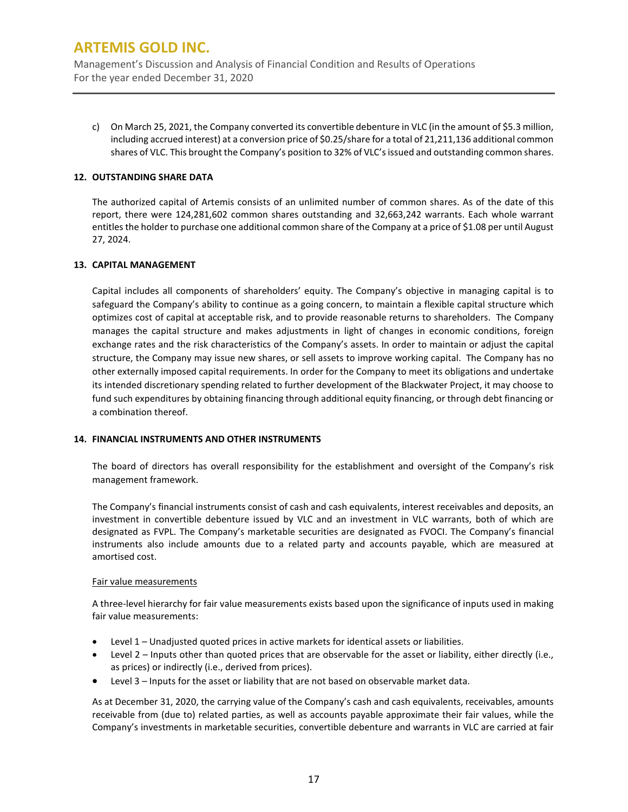Management's Discussion and Analysis of Financial Condition and Results of Operations For the year ended December 31, 2020

c) On March 25, 2021, the Company converted its convertible debenture in VLC (in the amount of \$5.3 million, including accrued interest) at a conversion price of \$0.25/share for a total of 21,211,136 additional common shares of VLC. This brought the Company's position to 32% of VLC's issued and outstanding common shares.

### **12. OUTSTANDING SHARE DATA**

The authorized capital of Artemis consists of an unlimited number of common shares. As of the date of this report, there were 124,281,602 common shares outstanding and 32,663,242 warrants. Each whole warrant entitles the holder to purchase one additional common share of the Company at a price of \$1.08 per until August 27, 2024.

### **13. CAPITAL MANAGEMENT**

Capital includes all components of shareholders' equity. The Company's objective in managing capital is to safeguard the Company's ability to continue as a going concern, to maintain a flexible capital structure which optimizes cost of capital at acceptable risk, and to provide reasonable returns to shareholders. The Company manages the capital structure and makes adjustments in light of changes in economic conditions, foreign exchange rates and the risk characteristics of the Company's assets. In order to maintain or adjust the capital structure, the Company may issue new shares, or sell assets to improve working capital. The Company has no other externally imposed capital requirements. In order for the Company to meet its obligations and undertake its intended discretionary spending related to further development of the Blackwater Project, it may choose to fund such expenditures by obtaining financing through additional equity financing, or through debt financing or a combination thereof.

### **14. FINANCIAL INSTRUMENTS AND OTHER INSTRUMENTS**

The board of directors has overall responsibility for the establishment and oversight of the Company's risk management framework.

The Company's financial instruments consist of cash and cash equivalents, interest receivables and deposits, an investment in convertible debenture issued by VLC and an investment in VLC warrants, both of which are designated as FVPL. The Company's marketable securities are designated as FVOCI. The Company's financial instruments also include amounts due to a related party and accounts payable, which are measured at amortised cost.

#### Fair value measurements

A three-level hierarchy for fair value measurements exists based upon the significance of inputs used in making fair value measurements:

- Level 1 Unadjusted quoted prices in active markets for identical assets or liabilities.
- Level 2 Inputs other than quoted prices that are observable for the asset or liability, either directly (i.e., as prices) or indirectly (i.e., derived from prices).
- Level 3 Inputs for the asset or liability that are not based on observable market data.

As at December 31, 2020, the carrying value of the Company's cash and cash equivalents, receivables, amounts receivable from (due to) related parties, as well as accounts payable approximate their fair values, while the Company's investments in marketable securities, convertible debenture and warrants in VLC are carried at fair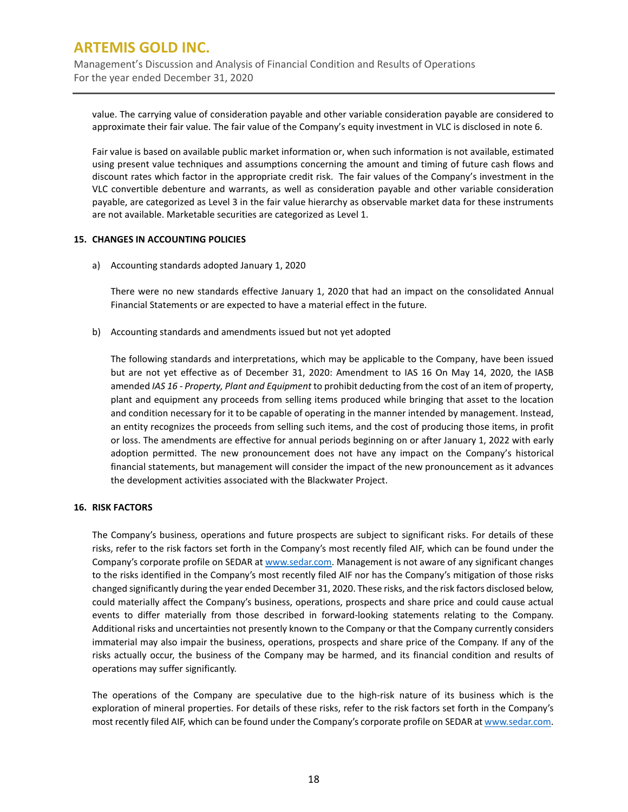Management's Discussion and Analysis of Financial Condition and Results of Operations For the year ended December 31, 2020

value. The carrying value of consideration payable and other variable consideration payable are considered to approximate their fair value. The fair value of the Company's equity investment in VLC is disclosed in note 6.

Fair value is based on available public market information or, when such information is not available, estimated using present value techniques and assumptions concerning the amount and timing of future cash flows and discount rates which factor in the appropriate credit risk. The fair values of the Company's investment in the VLC convertible debenture and warrants, as well as consideration payable and other variable consideration payable, are categorized as Level 3 in the fair value hierarchy as observable market data for these instruments are not available. Marketable securities are categorized as Level 1.

### **15. CHANGES IN ACCOUNTING POLICIES**

a) Accounting standards adopted January 1, 2020

There were no new standards effective January 1, 2020 that had an impact on the consolidated Annual Financial Statements or are expected to have a material effect in the future.

b) Accounting standards and amendments issued but not yet adopted

The following standards and interpretations, which may be applicable to the Company, have been issued but are not yet effective as of December 31, 2020: Amendment to IAS 16 On May 14, 2020, the IASB amended *IAS 16 - Property, Plant and Equipment* to prohibit deducting from the cost of an item of property, plant and equipment any proceeds from selling items produced while bringing that asset to the location and condition necessary for it to be capable of operating in the manner intended by management. Instead, an entity recognizes the proceeds from selling such items, and the cost of producing those items, in profit or loss. The amendments are effective for annual periods beginning on or after January 1, 2022 with early adoption permitted. The new pronouncement does not have any impact on the Company's historical financial statements, but management will consider the impact of the new pronouncement as it advances the development activities associated with the Blackwater Project.

### **16. RISK FACTORS**

The Company's business, operations and future prospects are subject to significant risks. For details of these risks, refer to the risk factors set forth in the Company's most recently filed AIF, which can be found under the Company's corporate profile on SEDAR at [www.sedar.com.](http://www.sedar.com/) Management is not aware of any significant changes to the risks identified in the Company's most recently filed AIF nor has the Company's mitigation of those risks changed significantly during the year ended December 31, 2020. These risks, and the risk factors disclosed below, could materially affect the Company's business, operations, prospects and share price and could cause actual events to differ materially from those described in forward-looking statements relating to the Company. Additional risks and uncertainties not presently known to the Company or that the Company currently considers immaterial may also impair the business, operations, prospects and share price of the Company. If any of the risks actually occur, the business of the Company may be harmed, and its financial condition and results of operations may suffer significantly.

The operations of the Company are speculative due to the high-risk nature of its business which is the exploration of mineral properties. For details of these risks, refer to the risk factors set forth in the Company's most recently filed AIF, which can be found under the Company's corporate profile on SEDAR at www.sedar.com.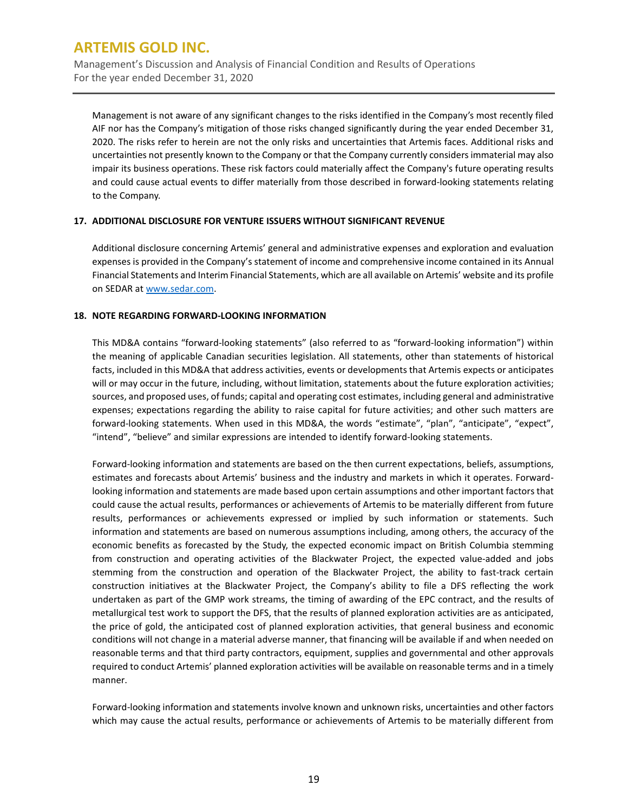Management's Discussion and Analysis of Financial Condition and Results of Operations For the year ended December 31, 2020

Management is not aware of any significant changes to the risks identified in the Company's most recently filed AIF nor has the Company's mitigation of those risks changed significantly during the year ended December 31, 2020. The risks refer to herein are not the only risks and uncertainties that Artemis faces. Additional risks and uncertainties not presently known to the Company or that the Company currently considers immaterial may also impair its business operations. These risk factors could materially affect the Company's future operating results and could cause actual events to differ materially from those described in forward-looking statements relating to the Company.

### **17. ADDITIONAL DISCLOSURE FOR VENTURE ISSUERS WITHOUT SIGNIFICANT REVENUE**

Additional disclosure concerning Artemis' general and administrative expenses and exploration and evaluation expenses is provided in the Company's statement of income and comprehensive income contained in its Annual Financial Statements and Interim Financial Statements, which are all available on Artemis' website and its profile on SEDAR a[t www.sedar.com.](http://www.sedar.com/)

### **18. NOTE REGARDING FORWARD-LOOKING INFORMATION**

This MD&A contains "forward-looking statements" (also referred to as "forward-looking information") within the meaning of applicable Canadian securities legislation. All statements, other than statements of historical facts, included in this MD&A that address activities, events or developments that Artemis expects or anticipates will or may occur in the future, including, without limitation, statements about the future exploration activities; sources, and proposed uses, of funds; capital and operating cost estimates, including general and administrative expenses; expectations regarding the ability to raise capital for future activities; and other such matters are forward-looking statements. When used in this MD&A, the words "estimate", "plan", "anticipate", "expect", "intend", "believe" and similar expressions are intended to identify forward-looking statements.

Forward-looking information and statements are based on the then current expectations, beliefs, assumptions, estimates and forecasts about Artemis' business and the industry and markets in which it operates. Forwardlooking information and statements are made based upon certain assumptions and other important factors that could cause the actual results, performances or achievements of Artemis to be materially different from future results, performances or achievements expressed or implied by such information or statements. Such information and statements are based on numerous assumptions including, among others, the accuracy of the economic benefits as forecasted by the Study, the expected economic impact on British Columbia stemming from construction and operating activities of the Blackwater Project, the expected value-added and jobs stemming from the construction and operation of the Blackwater Project, the ability to fast-track certain construction initiatives at the Blackwater Project, the Company's ability to file a DFS reflecting the work undertaken as part of the GMP work streams, the timing of awarding of the EPC contract, and the results of metallurgical test work to support the DFS, that the results of planned exploration activities are as anticipated, the price of gold, the anticipated cost of planned exploration activities, that general business and economic conditions will not change in a material adverse manner, that financing will be available if and when needed on reasonable terms and that third party contractors, equipment, supplies and governmental and other approvals required to conduct Artemis' planned exploration activities will be available on reasonable terms and in a timely manner.

Forward-looking information and statements involve known and unknown risks, uncertainties and other factors which may cause the actual results, performance or achievements of Artemis to be materially different from